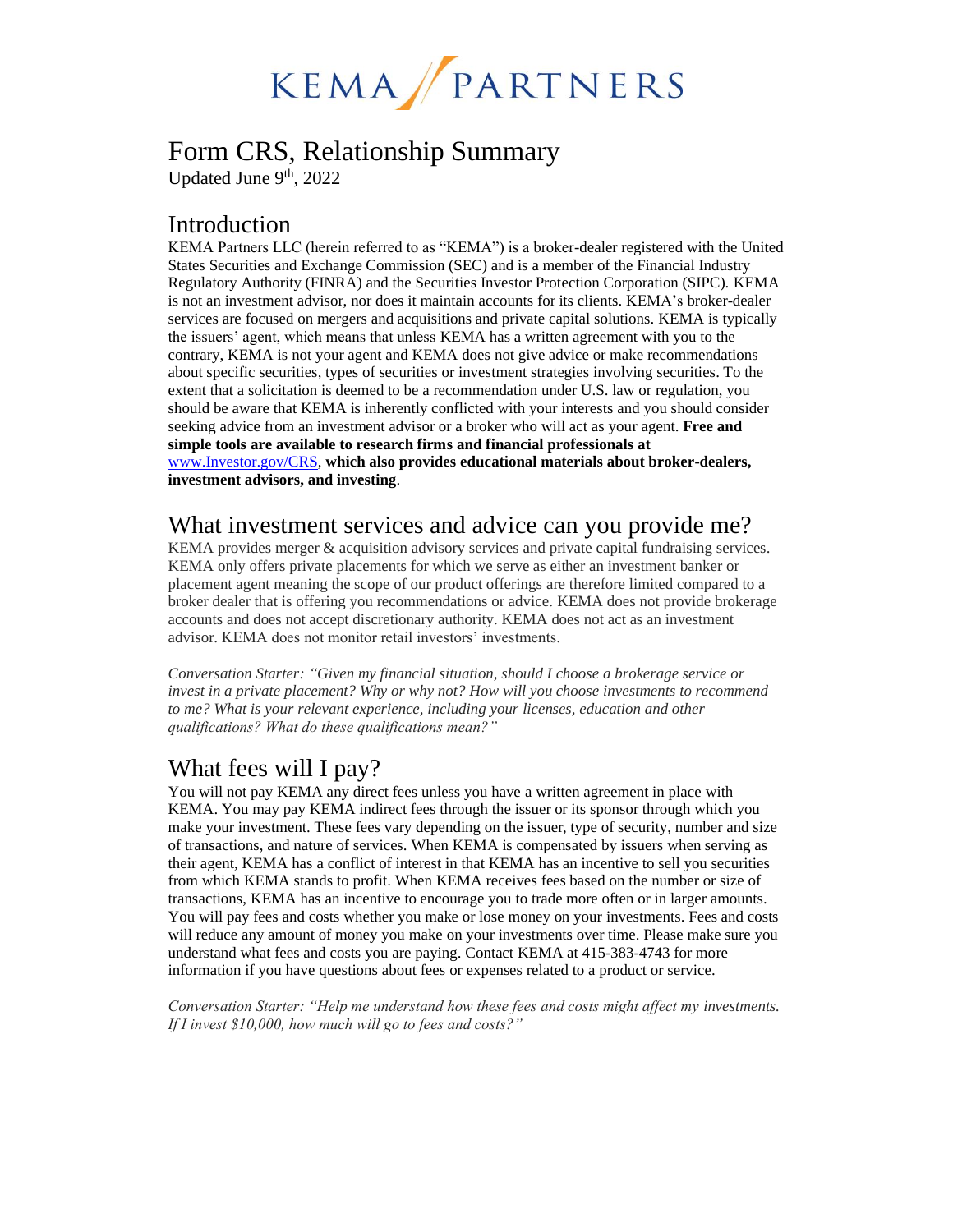

# Form CRS, Relationship Summary

Updated June 9<sup>th</sup>, 2022

#### Introduction

KEMA Partners LLC (herein referred to as "KEMA") is a broker-dealer registered with the United States Securities and Exchange Commission (SEC) and is a member of the Financial Industry Regulatory Authority (FINRA) and the Securities Investor Protection Corporation (SIPC). KEMA is not an investment advisor, nor does it maintain accounts for its clients. KEMA's broker-dealer services are focused on mergers and acquisitions and private capital solutions. KEMA is typically the issuers' agent, which means that unless KEMA has a written agreement with you to the contrary, KEMA is not your agent and KEMA does not give advice or make recommendations about specific securities, types of securities or investment strategies involving securities. To the extent that a solicitation is deemed to be a recommendation under U.S. law or regulation, you should be aware that KEMA is inherently conflicted with your interests and you should consider seeking advice from an investment advisor or a broker who will act as your agent. **Free and simple tools are available to research firms and financial professionals at** [www.Investor.gov/CRS,](http://www.investor.gov/CRS) **which also provides educational materials about broker-dealers, investment advisors, and investing**.

### What investment services and advice can you provide me?

KEMA provides merger & acquisition advisory services and private capital fundraising services. KEMA only offers private placements for which we serve as either an investment banker or placement agent meaning the scope of our product offerings are therefore limited compared to a broker dealer that is offering you recommendations or advice. KEMA does not provide brokerage accounts and does not accept discretionary authority. KEMA does not act as an investment advisor. KEMA does not monitor retail investors' investments.

*Conversation Starter: "Given my financial situation, should I choose a brokerage service or invest in a private placement? Why or why not? How will you choose investments to recommend to me? What is your relevant experience, including your licenses, education and other qualifications? What do these qualifications mean?"*

## What fees will I pay?

You will not pay KEMA any direct fees unless you have a written agreement in place with KEMA. You may pay KEMA indirect fees through the issuer or its sponsor through which you make your investment. These fees vary depending on the issuer, type of security, number and size of transactions, and nature of services. When KEMA is compensated by issuers when serving as their agent, KEMA has a conflict of interest in that KEMA has an incentive to sell you securities from which KEMA stands to profit. When KEMA receives fees based on the number or size of transactions, KEMA has an incentive to encourage you to trade more often or in larger amounts. You will pay fees and costs whether you make or lose money on your investments. Fees and costs will reduce any amount of money you make on your investments over time. Please make sure you understand what fees and costs you are paying. Contact KEMA at 415-383-4743 for more information if you have questions about fees or expenses related to a product or service.

*Conversation Starter: "Help me understand how these fees and costs might affect my investments. If I invest \$10,000, how much will go to fees and costs?"*